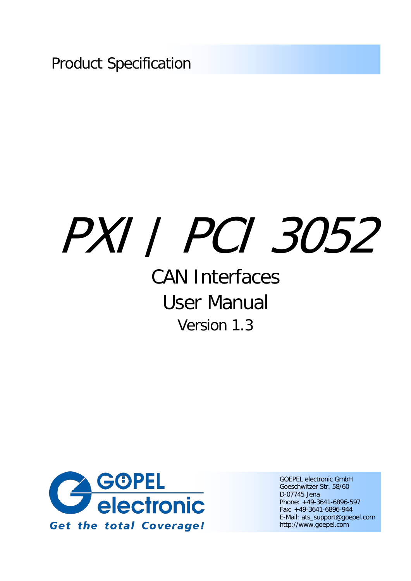Product Specification

# PXI / PCI 3052

## CAN Interfaces User Manual Version 1.3



GOEPEL electronic GmbH Goeschwitzer Str. 58/60 D-07745 Jena Phone: +49-3641-6896-597 Fax: +49-3641-6896-944 E-Mail: ats\_support@goepel.com http://www.goepel.com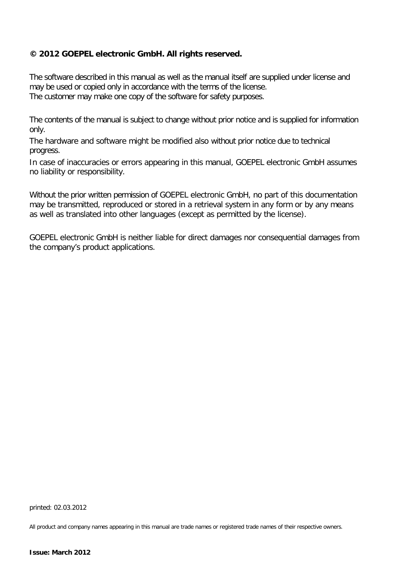#### **© 2012 GOEPEL electronic GmbH. All rights reserved.**

The software described in this manual as well as the manual itself are supplied under license and may be used or copied only in accordance with the terms of the license. The customer may make one copy of the software for safety purposes.

The contents of the manual is subject to change without prior notice and is supplied for information only.

The hardware and software might be modified also without prior notice due to technical progress.

In case of inaccuracies or errors appearing in this manual, GOEPEL electronic GmbH assumes no liability or responsibility.

Without the prior written permission of GOEPEL electronic GmbH, no part of this documentation may be transmitted, reproduced or stored in a retrieval system in any form or by any means as well as translated into other languages (except as permitted by the license).

GOEPEL electronic GmbH is neither liable for direct damages nor consequential damages from the company's product applications.

printed: 02.03.2012

All product and company names appearing in this manual are trade names or registered trade names of their respective owners.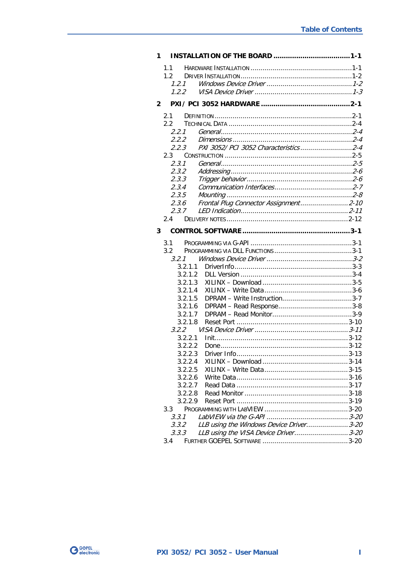| 1            |                                                         |  |
|--------------|---------------------------------------------------------|--|
|              | 1.1                                                     |  |
|              | $1.2 -$                                                 |  |
|              | 1, 2, 1                                                 |  |
|              | 1.2.2                                                   |  |
| $\mathbf{2}$ |                                                         |  |
|              | 2.1                                                     |  |
|              | 2.2                                                     |  |
|              | 2.2.1                                                   |  |
|              | 2.2.2                                                   |  |
|              | PXI 3052/ PCI 3052 Characteristics2-4<br>2.2.3          |  |
|              | 2.3                                                     |  |
|              | 2.3.1                                                   |  |
|              | 2.3.2                                                   |  |
|              | 2.3.3                                                   |  |
|              | 2.3.4                                                   |  |
|              | 2.3.5<br>Frontal Plug Connector Assignment2-10<br>2.3.6 |  |
|              | 2.3.7                                                   |  |
|              | 2.4                                                     |  |
|              |                                                         |  |
| 3            |                                                         |  |
|              | 3.1                                                     |  |
|              | 3.2                                                     |  |
|              | 3.2.1                                                   |  |
|              | 3.2.1.1                                                 |  |
|              | 3.2.1.2                                                 |  |
|              | 3.2.1.3                                                 |  |
|              | 3.2.1.4                                                 |  |
|              | 3.2.1.5<br>3.2.1.6                                      |  |
|              | 3.2.1.7                                                 |  |
|              | 3.2.1.8                                                 |  |
|              | 3.2.2                                                   |  |
|              | 3.2.2.1                                                 |  |
|              | 3.2.2.2                                                 |  |
|              | 3.2.2.3                                                 |  |
|              | 3.2.2.4                                                 |  |
|              | 3.2.2.5                                                 |  |
|              | 3.2.2.6                                                 |  |
|              | 3.2.2.7                                                 |  |
|              | 3.2.2.8                                                 |  |
|              | 3.2.2.9                                                 |  |
|              | 3.3                                                     |  |
|              | 3.3.1                                                   |  |
|              | LLB using the Windows Device Driver3-20<br>3.3.2        |  |
|              | LLB using the VISA Device Driver 3-20<br>3.3.3          |  |
|              |                                                         |  |

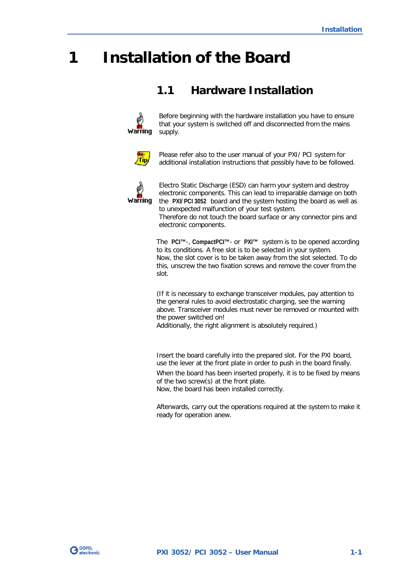## <span id="page-4-0"></span>**1 Installation of the Board**

## <span id="page-4-1"></span>**1.1 Hardware Installation**



Before beginning with the hardware installation you have to ensure that your system is switched off and disconnected from the mains supply.



Please refer also to the user manual of your PXI/ PCI system for additional installation instructions that possibly have to be followed.



Electro Static Discharge (ESD) can harm your system and destroy electronic components. This can lead to irreparable damage on both the **PXI/ PCI 3052** board and the system hosting the board as well as to unexpected malfunction of your test system.

Therefore do not touch the board surface or any connector pins and electronic components.

The **PCI™**-, **CompactPCI™**- or **PXI™** system is to be opened according to its conditions. A free slot is to be selected in your system. Now, the slot cover is to be taken away from the slot selected. To do this, unscrew the two fixation screws and remove the cover from the slot.

(If it is necessary to exchange transceiver modules, pay attention to the general rules to avoid electrostatic charging, see the warning above. Transceiver modules must never be removed or mounted with the power switched on!

Additionally, the right alignment is absolutely required.)

Insert the board carefully into the prepared slot. For the PXI board, use the lever at the front plate in order to push in the board finally. When the board has been inserted properly, it is to be fixed by means of the two screw(s) at the front plate. Now, the board has been installed correctly.

Afterwards, carry out the operations required at the system to make it ready for operation anew.

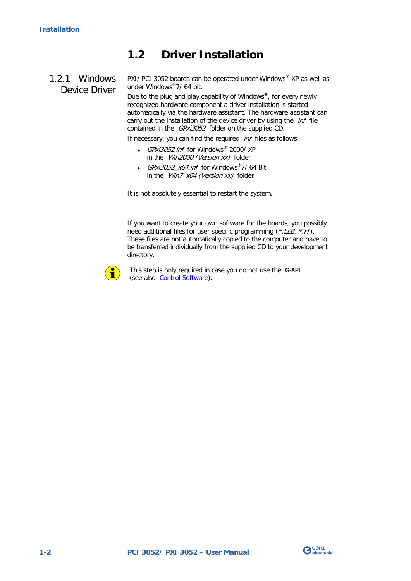## <span id="page-5-0"></span>**1.2 Driver Installation**

## <span id="page-5-1"></span>1.2.1 Windows Device Driver

PXI/ PCI 3052 boards can be operated under Windows® XP as well as under Windows®7/ 64 bit.

Due to the plug and play capability of Windows®, for every newly recognized hardware component a driver installation is started automatically via the hardware assistant. The hardware assistant can carry out the installation of the device driver by using the *inf* file contained in the GPxi3052 folder on the supplied CD.

If necessary, you can find the required *inf* files as follows:

- GPxi3052.inf for Windows® 2000/ XP in the Win2000 (Version xx) folder
- GPxi3052\_x64.inf for Windows®7/ 64 Bit in the Win7\_x64 (Version xx) folder

It is not absolutely essential to restart the system.

If you want to create your own software for the boards, you possibly need additional files for user specific programming (\*.LLB, \*.H). These files are not automatically copied to the computer and have to be transferred individually from the supplied CD to your development directory.



This step is only required in case you do not use the **G-API** (see also [Control Software\)](#page-20-0).

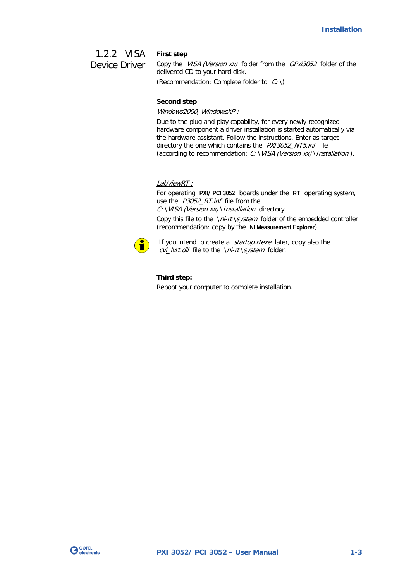#### <span id="page-6-0"></span>1.2.2 VISA Device Driver

**First step**

Copy the VISA (Version xx) folder from the GPxi3052 folder of the delivered CD to your hard disk.

(Recommendation: Complete folder to  $C: \mathcal{C}$ )

#### **Second step**

Windows2000, WindowsXP :

Due to the plug and play capability, for every newly recognized hardware component a driver installation is started automatically via the hardware assistant. Follow the instructions. Enter as target directory the one which contains the PXI3052\_NT5.inf file (according to recommendation:  $C: \Vpsilon/ S A$  (Version xx) \Installation).

#### LabViewRT :

For operating **PXI**/ **PCI 3052** boards under the **RT** operating system, use the P3052\_RT.inf file from the

C: \VISA (Version xx) \Installation directory.

Copy this file to the \ni-rt\system folder of the embedded controller (recommendation: copy by the **NI Measurement Explorer**).



If you intend to create a *startup.rtexe* later, copy also the cvi\_lvrt.dll file to the \ni-rt \system folder.

#### **Third step:**

Reboot your computer to complete installation.

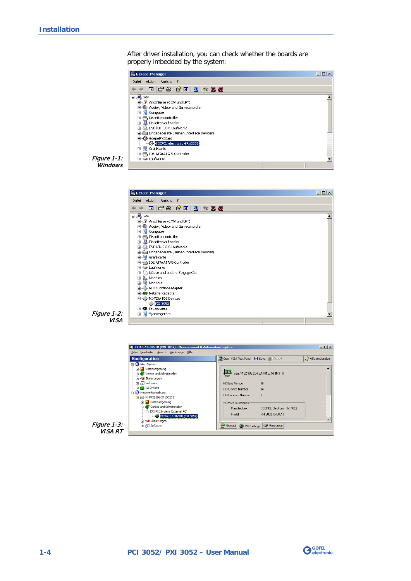After driver installation, you can check whether the boards are properly imbedded by the system:



Figure 1-1: **Windows** 





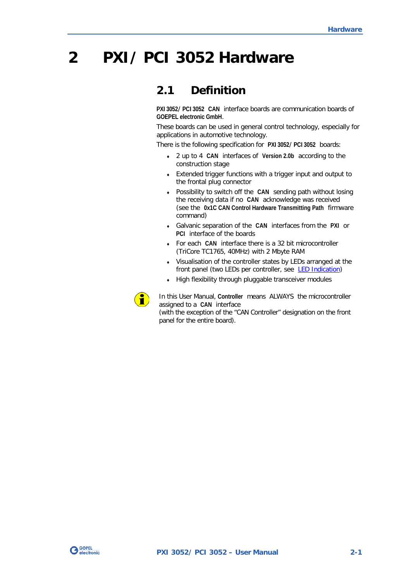## <span id="page-8-0"></span>**2 PXI/ PCI 3052 Hardware**

## <span id="page-8-1"></span>**2.1 Definition**

**PXI 3052**/ **PCI 3052 CAN** interface boards are communication boards of **GOEPEL electronic GmbH**.

These boards can be used in general control technology, especially for applications in automotive technology.

There is the following specification for **PXI 3052**/ **PCI 3052** boards:

- ♦ 2 up to 4 **CAN** interfaces of **Version 2.0b** according to the construction stage
- ♦ Extended trigger functions with a trigger input and output to the frontal plug connector
- ♦ Possibility to switch off the **CAN** sending path without losing the receiving data if no **CAN** acknowledge was received (see the **0x1C CAN Control Hardware Transmitting Path** firmware command)
- ♦ Galvanic separation of the **CAN** interfaces from the **PXI** or **PCI** interface of the boards
- ♦ For each **CAN** interface there is a 32 bit microcontroller (TriCore TC1765, 40MHz) with 2 Mbyte RAM
- ♦ Visualisation of the controller states by LEDs arranged at the front panel (two LEDs per controller, see [LED Indication\)](#page-18-0)
- ♦ High flexibility through pluggable transceiver modules



In this User Manual, **Controller** means ALWAYS the microcontroller assigned to a **CAN** interface

(with the exception of the "CAN Controller" designation on the front panel for the entire board).

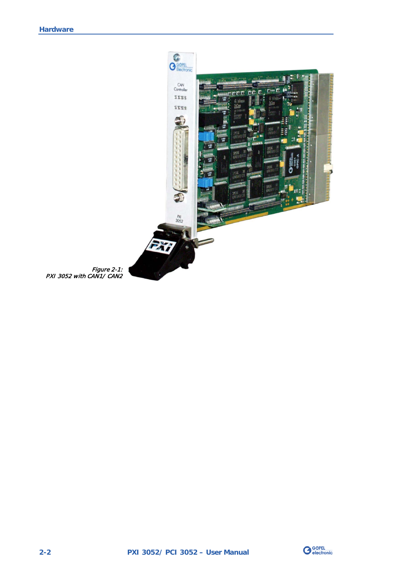

Figure 2-1: PXI 3052 with CAN1/ CAN2

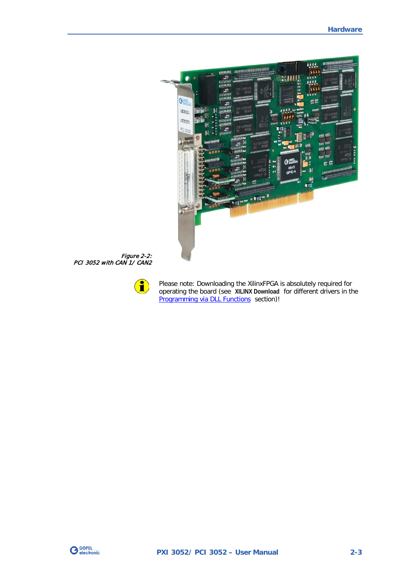

Figure 2-2: PCI 3052 with CAN 1/ CAN2



Please note: Downloading the XilinxFPGA is absolutely required for operating the board (see **XILINX Download** for different drivers in the [Programming via DLL Functions](#page-20-2) section)!

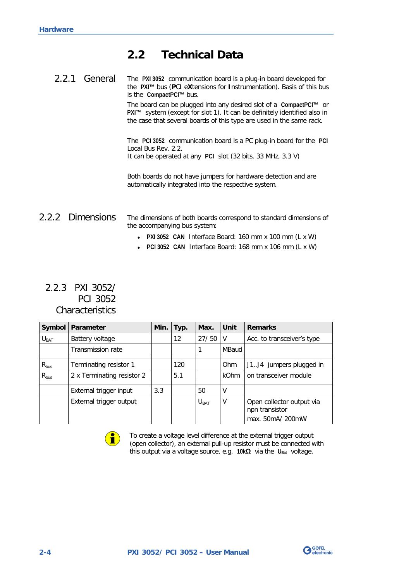## <span id="page-11-0"></span>**2.2 Technical Data**

<span id="page-11-1"></span>

| 2.2.1<br>General | The PXI 3052 communication board is a plug-in board developed for<br>the PXI <sup>™</sup> bus (PCI eXtensions for Instrumentation). Basis of this bus<br>is the CompactPCI <sup>™</sup> bus.                                                                |
|------------------|-------------------------------------------------------------------------------------------------------------------------------------------------------------------------------------------------------------------------------------------------------------|
|                  | The board can be plugged into any desired slot of a CompactPCI <sup><math>m</math></sup> or<br>PXI <sup>™</sup> system (except for slot 1). It can be definitely identified also in<br>the case that several boards of this type are used in the same rack. |
|                  | The PCI 3052 communication board is a PC plug-in board for the PCI<br>Local Bus Rev. 2.2.<br>It can be operated at any PCI slot (32 bits, 33 MHz, 3.3 V)                                                                                                    |
|                  | Both boards do not have jumpers for hardware detection and are<br>automatically integrated into the respective system.                                                                                                                                      |
| 2.2.2 Dimensions | The dimensions of both boards correspond to standard dimensions of<br>the accompanying bus system:<br>• PXI 3052 CAN Interface Board: 160 mm x 100 mm (L x W)                                                                                               |

♦ **PCI 3052 CAN** Interface Board: 168 mm x 106 mm (L x W)

## <span id="page-11-3"></span><span id="page-11-2"></span>2.2.3 PXI 3052/ PCI 3052 **Characteristics**

| Symbol    | Parameter                  | Min. | Typ.              | Max.             | Unit        | <b>Remarks</b>                              |
|-----------|----------------------------|------|-------------------|------------------|-------------|---------------------------------------------|
| $U_{BAT}$ | Battery voltage            |      | $12 \overline{ }$ | 27/50            | V           | Acc. to transceiver's type                  |
|           | <b>Transmission rate</b>   |      |                   |                  | MBaud       |                                             |
| $R_{bus}$ | Terminating resistor 1     |      | 120               |                  | Ohm         | J1.J4 jumpers plugged in                    |
|           |                            |      |                   |                  |             |                                             |
| $R_{bus}$ | 2 x Terminating resistor 2 |      | 5.1               |                  | <b>kOhm</b> | on transceiver module                       |
|           |                            |      |                   |                  |             |                                             |
|           | External trigger input     | 3.3  |                   | 50               | V           |                                             |
|           | External trigger output    |      |                   | $U_{\text{BAT}}$ | V           | Open collector output via<br>npn transistor |
|           |                            |      |                   |                  |             | max. 50mA/ 200mW                            |



To create a voltage level difference at the external trigger output (open collector), an external pull-up resistor must be connected with this output via a voltage source, e.g. 10kΩ via the U<sub>Bat</sub> voltage.

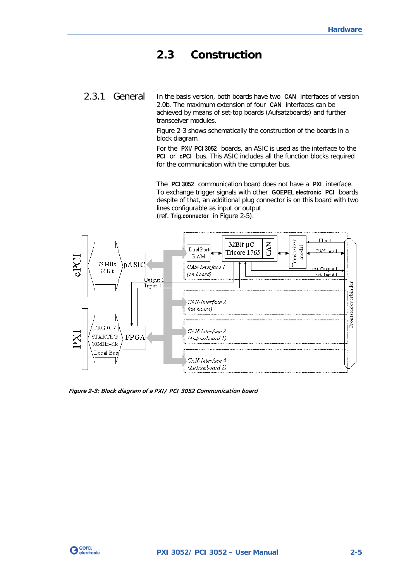## <span id="page-12-0"></span>**2.3 Construction**

<span id="page-12-1"></span>In the basis version, both boards have two **CAN** interfaces of version 2.0b. The maximum extension of four **CAN** interfaces can be achieved by means of set-top boards (Aufsatzboards) and further transceiver modules. 2.3.1 General

> [Figure 2-3](#page-12-2) shows schematically the construction of the boards in a block diagram.

For the **PXI**/ **PCI 3052** boards, an ASIC is used as the interface to the **PCI** or **cPCI** bus. This ASIC includes all the function blocks required for the communication with the computer bus.

The **PCI 3052** communication board does not have a **PXI** interface. To exchange trigger signals with other **GOEPEL electronic PCI** boards despite of that, an additional plug connector is on this board with two lines configurable as input or output (ref. **Trig.connector** in [Figure 2-5\)](#page-15-1).



<span id="page-12-2"></span>Figure 2-3: Block diagram of a PXI/ PCI 3052 Communication board

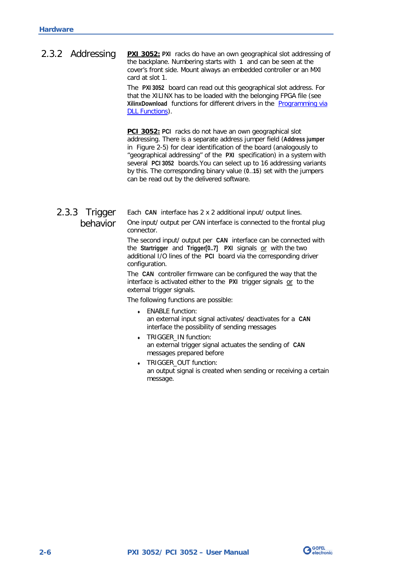#### <span id="page-13-0"></span>**PXI 3052:** PXI racks do have an own geographical slot addressing of the backplane. Numbering starts with **1** and can be seen at the cover's front side. Mount always an embedded controller or an MXI card at slot 1. 2.3.2 Addressing

The **PXI 3052** board can read out this geographical slot address. For that the XILINX has to be loaded with the belonging FPGA file (see **XilinxDownload** functions for different drivers in the [Programming via](#page-20-2)  [DLL Functions\)](#page-20-2).

**PCI 3052: PCI** racks do not have an own geographical slot addressing. There is a separate address jumper field (**Address jumper** in [Figure 2-5\)](#page-15-1) for clear identification of the board (analogously to "geographical addressing" of the **PXI** specification) in a system with several **PCI 3052** boards.You can select up to 16 addressing variants by this. The corresponding binary value (**0**..**15**) set with the jumpers can be read out by the delivered software.

## <span id="page-13-1"></span>2.3.3 Trigger behavior

Each **CAN** interface has 2 x 2 additional input/ output lines. One input/ output per CAN interface is connected to the frontal plug connector.

The second input/ output per **CAN** interface can be connected with the **Startrigger** and **Trigger[0..7] PXI** signals or with the two additional I/O lines of the **PCI** board via the corresponding driver configuration.

The **CAN** controller firmware can be configured the way that the interface is activated either to the **PXI** trigger signals or to the external trigger signals.

The following functions are possible:

- ENABLE function: an external input signal activates/ deactivates for a **CAN** interface the possibility of sending messages
- TRIGGER IN function: an external trigger signal actuates the sending of **CAN** messages prepared before
- TRIGGER OUT function: an output signal is created when sending or receiving a certain message.

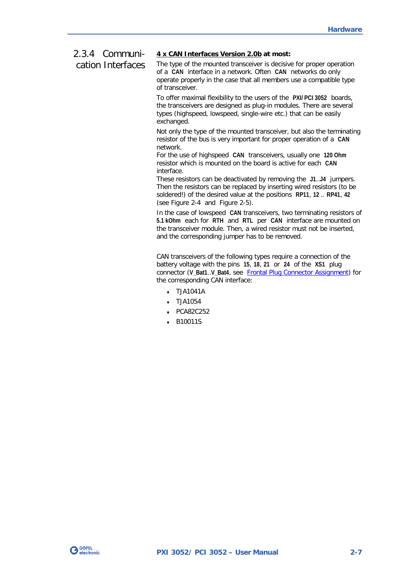#### <span id="page-14-0"></span>**4 x CAN Interfaces Version 2.0b at most:** 2.3.4 Communi-

#### cation Interfaces

The type of the mounted transceiver is decisive for proper operation of a **CAN** interface in a network. Often **CAN** networks do only operate properly in the case that all members use a compatible type of transceiver.

To offer maximal flexibility to the users of the **PXI/ PCI 3052** boards, the transceivers are designed as plug-in modules. There are several types (highspeed, lowspeed, single-wire etc.) that can be easily exchanged.

Not only the type of the mounted transceiver, but also the terminating resistor of the bus is very important for proper operation of a **CAN** network.

For the use of highspeed **CAN** transceivers, usually one **120 Ohm** resistor which is mounted on the board is active for each **CAN** interface.

These resistors can be deactivated by removing the **J1**..**J4** jumpers. Then the resistors can be replaced by inserting wired resistors (to be soldered!) of the desired value at the positions **RP11**, **12** .. **RP41**, **42** (see [Figure 2-4](#page-15-2) and [Figure 2-5\)](#page-15-1).

In the case of lowspeed **CAN** transceivers, two terminating resistors of **5.1 kOhm** each for **RTH** and **RTL** per **CAN** interface are mounted on the transceiver module. Then, a wired resistor must not be inserted, and the corresponding jumper has to be removed.

CAN transceivers of the following types require a connection of the battery voltage with the pins **15**, **18**, **21** or **24** of the **XS1** plug connector (**V\_Bat1**..**V\_Bat4**, see [Frontal Plug Connector Assignment\)](#page-17-0) for the corresponding CAN interface:

- ♦ TJA1041A
- ♦ TJA1054
- PCA82C252
- ♦ B10011S

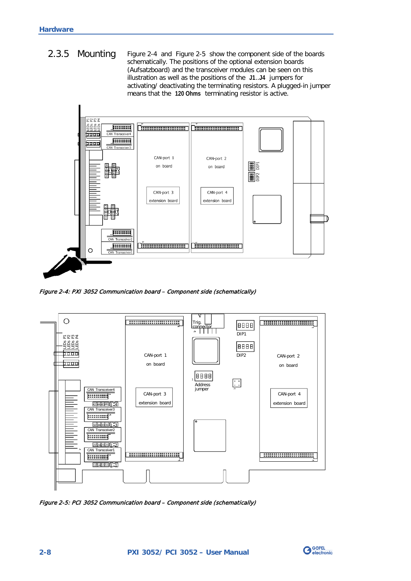<span id="page-15-0"></span>[Figure 2-4](#page-15-2) and [Figure 2-5](#page-15-1) show the component side of the boards schematically. The positions of the optional extension boards (Aufsatzboard) and the transceiver modules can be seen on this illustration as well as the positions of the **J1**..**J4** jumpers for activating/ deactivating the terminating resistors. A plugged-in jumper means that the **120 Ohms** terminating resistor is active. 2.3.5 Mounting



<span id="page-15-2"></span>Figure 2-4: PXI 3052 Communication board – Component side (schematically)



<span id="page-15-1"></span>Figure 2-5: PCI 3052 Communication board – Component side (schematically)

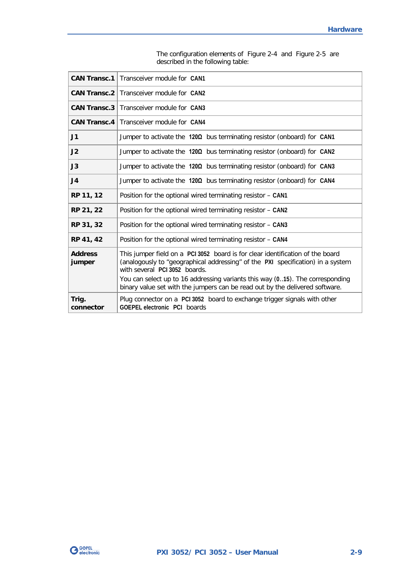| <b>CAN Transc.1</b>                                                                                                                                                                                                                                                                                                                                                                             | Transceiver module for CAN1                                                                               |
|-------------------------------------------------------------------------------------------------------------------------------------------------------------------------------------------------------------------------------------------------------------------------------------------------------------------------------------------------------------------------------------------------|-----------------------------------------------------------------------------------------------------------|
|                                                                                                                                                                                                                                                                                                                                                                                                 | <b>CAN Transc.2</b>   Transceiver module for CAN2                                                         |
| <b>CAN Transc.3</b>                                                                                                                                                                                                                                                                                                                                                                             | Transceiver module for CAN3                                                                               |
| CAN Transc.4                                                                                                                                                                                                                                                                                                                                                                                    | Transceiver module for CAN4                                                                               |
| J1                                                                                                                                                                                                                                                                                                                                                                                              | Jumper to activate the $120\Omega$ bus terminating resistor (onboard) for CAN1                            |
| J2                                                                                                                                                                                                                                                                                                                                                                                              | Jumper to activate the $120\Omega$ bus terminating resistor (onboard) for CAN2                            |
| J3                                                                                                                                                                                                                                                                                                                                                                                              | Jumper to activate the $120\Omega$ bus terminating resistor (onboard) for CAN3                            |
| J <sub>4</sub>                                                                                                                                                                                                                                                                                                                                                                                  | Jumper to activate the 1200 bus terminating resistor (onboard) for CAN4                                   |
| RP 11, 12                                                                                                                                                                                                                                                                                                                                                                                       | Position for the optional wired terminating resistor - CAN1                                               |
| RP 21, 22                                                                                                                                                                                                                                                                                                                                                                                       | Position for the optional wired terminating resistor - CAN2                                               |
| RP 31, 32                                                                                                                                                                                                                                                                                                                                                                                       | Position for the optional wired terminating resistor - CAN3                                               |
| RP 41, 42                                                                                                                                                                                                                                                                                                                                                                                       | Position for the optional wired terminating resistor - CAN4                                               |
| <b>Address</b><br>This jumper field on a PCI 3052 board is for clear identification of the board<br>(analogously to "geographical addressing" of the PXI specification) in a system<br>jumper<br>with several PCI 3052 boards.<br>You can select up to 16 addressing variants this way (015). The corresponding<br>binary value set with the jumpers can be read out by the delivered software. |                                                                                                           |
| Trig.<br>connector                                                                                                                                                                                                                                                                                                                                                                              | Plug connector on a PCI 3052 board to exchange trigger signals with other<br>GOEPEL electronic PCI boards |

The configuration elements of [Figure 2-4](#page-15-2) and [Figure 2-5](#page-15-1) are described in the following table:

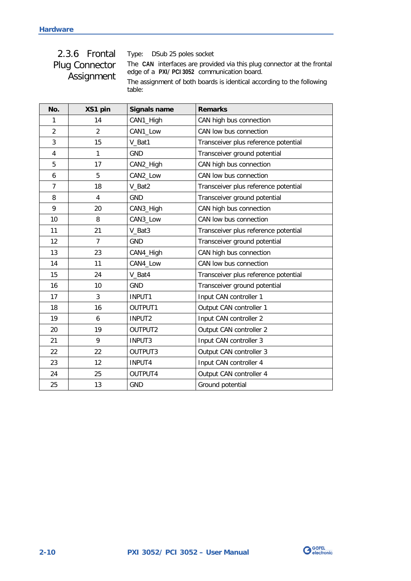## <span id="page-17-0"></span>2.3.6 Frontal Plug Connector Assignment

Type: DSub 25 poles socket

The **CAN** interfaces are provided via this plug connector at the frontal edge of a **PXI**/ **PCI 3052** communication board.

The assignment of both boards is identical according to the following table:

| No.                     | XS1 pin                 | <b>Signals name</b> | <b>Remarks</b>                       |  |
|-------------------------|-------------------------|---------------------|--------------------------------------|--|
| 1                       | 14                      | CAN1_High           | CAN high bus connection              |  |
| $\overline{2}$          | $\mathfrak{p}$          | CAN1_Low            | CAN low bus connection               |  |
| 3                       | 15                      | V_Bat1              | Transceiver plus reference potential |  |
| $\overline{\mathbf{4}}$ | 1                       | <b>GND</b>          | Transceiver ground potential         |  |
| 5                       | 17                      | CAN2_High           | CAN high bus connection              |  |
| 6                       | 5                       | CAN2_Low            | CAN low bus connection               |  |
| $\overline{7}$          | 18                      | V_Bat2              | Transceiver plus reference potential |  |
| 8                       | $\overline{\mathbf{4}}$ | <b>GND</b>          | Transceiver ground potential         |  |
| 9                       | 20                      | CAN3_High           | CAN high bus connection              |  |
| 10                      | 8                       | CAN3_Low            | CAN low bus connection               |  |
| 11                      | 21                      | V_Bat3              | Transceiver plus reference potential |  |
| 12                      | $\overline{7}$          | <b>GND</b>          | Transceiver ground potential         |  |
| 13                      | 23                      | CAN4_High           | CAN high bus connection              |  |
| 14                      | 11                      | CAN4_Low            | CAN low bus connection               |  |
| 15                      | 24                      | V_Bat4              | Transceiver plus reference potential |  |
| 16                      | 10                      | <b>GND</b>          | Transceiver ground potential         |  |
| 17                      | 3                       | INPUT1              | Input CAN controller 1               |  |
| 18                      | 16                      | OUTPUT1             | Output CAN controller 1              |  |
| 19                      | 6                       | INPUT2              | Input CAN controller 2               |  |
| 20                      | 19                      | OUTPUT2             | Output CAN controller 2              |  |
| 21                      | 9                       | INPUT3              | Input CAN controller 3               |  |
| 22                      | 22                      | OUTPUT3             | Output CAN controller 3              |  |
| 23                      | 12                      | INPUT4              | Input CAN controller 4               |  |
| 24                      | 25                      | OUTPUT4             | Output CAN controller 4              |  |
| 25                      | 13                      | <b>GND</b>          | Ground potential                     |  |

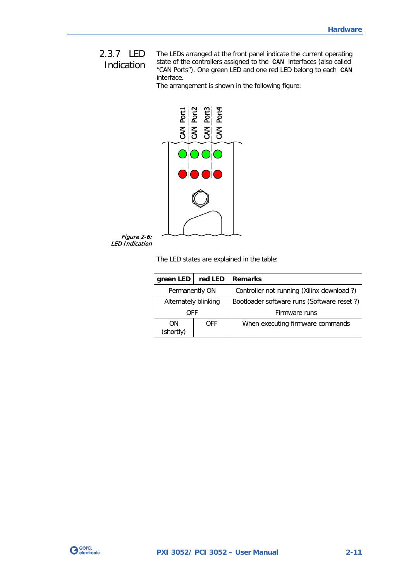## <span id="page-18-0"></span>2.3.7 LED Indication

The LEDs arranged at the front panel indicate the current operating state of the controllers assigned to the **CAN** interfaces (also called "CAN Ports"). One green LED and one red LED belong to each **CAN** interface.

The arrangement is shown in the following figure:



The LED states are explained in the table:

| green LED            | red LED    | <b>Remarks</b>                             |
|----------------------|------------|--------------------------------------------|
| Permanently ON       |            | Controller not running (Xilinx download ?) |
| Alternately blinking |            | Bootloader software runs (Software reset?) |
| OFF                  |            | Firmware runs                              |
| 0N<br>(shortly)      | <b>OFF</b> | When executing firmware commands           |

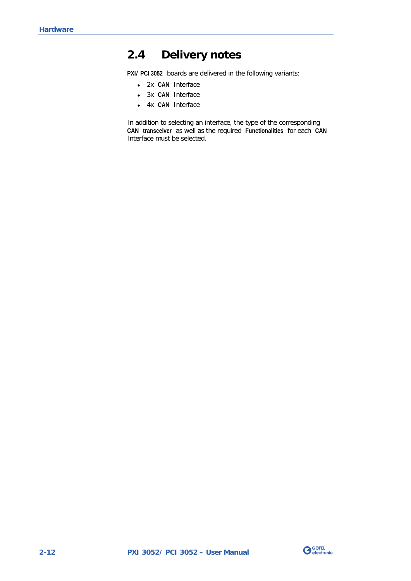## <span id="page-19-0"></span>**2.4 Delivery notes**

**PXI**/ **PCI 3052** boards are delivered in the following variants:

- ♦ 2x **CAN** Interface
- ♦ 3x **CAN** Interface
- ♦ 4x **CAN** Interface

In addition to selecting an interface, the type of the corresponding **CAN transceiver** as well as the required **Functionalities** for each **CAN** Interface must be selected.

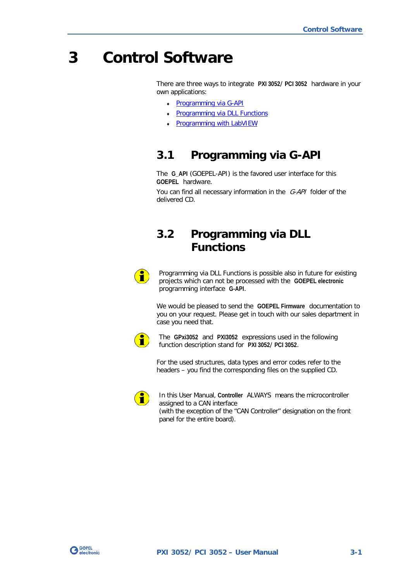## <span id="page-20-0"></span>**3 Control Software**

There are three ways to integrate **PXI 3052**/ **PCI 3052** hardware in your own applications:

- Programming via G-API
- Programming via DLL Functions
- **Programming with LabVIEW**

## <span id="page-20-1"></span>**3.1 Programming via G-API**

The **G\_API** (GOEPEL-API) is the favored user interface for this **GOEPEL** hardware.

You can find all necessary information in the G-API folder of the delivered CD.

## <span id="page-20-2"></span>**3.2 Programming via DLL Functions**



Programming via DLL Functions is possible also in future for existing projects which can not be processed with the **GOEPEL electronic** programming interface **G-API**.

We would be pleased to send the **GOEPEL Firmware** documentation to you on your request. Please get in touch with our sales department in case you need that.



The **GPxi3052** and **PXI3052** expressions used in the following function description stand for **PXI 3052**/ **PCI 3052**.

For the used structures, data types and error codes refer to the headers – you find the corresponding files on the supplied CD.



In this User Manual, **Controller** ALWAYS means the microcontroller assigned to a CAN interface (with the exception of the "CAN Controller" designation on the front panel for the entire board).

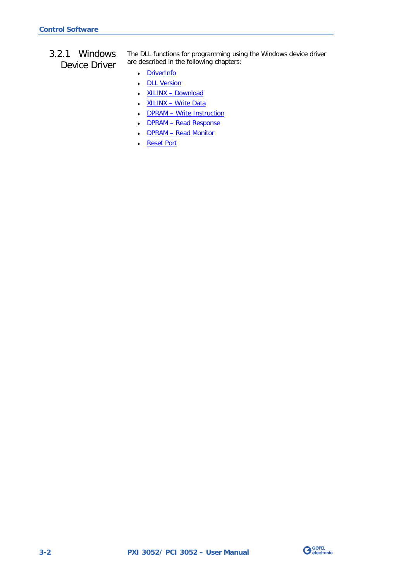<span id="page-21-0"></span>3.2.1 Windows Device Driver The DLL functions for programming using the Windows device driver are described in the following chapters:

- ♦ [DriverInfo](#page-22-0)
- ♦ [DLL Version](#page-23-0)
- ♦ XILINX [Download](#page-24-1)
- ♦ XILINX [Write Data](#page-25-1)
- ♦ DPRAM [Write Instruction](#page-26-0)
- ♦ DPRAM [Read Response](#page-27-0)
- ♦ DPRAM [Read Monitor](#page-28-0)
- ♦ [Reset Port](#page-38-0)

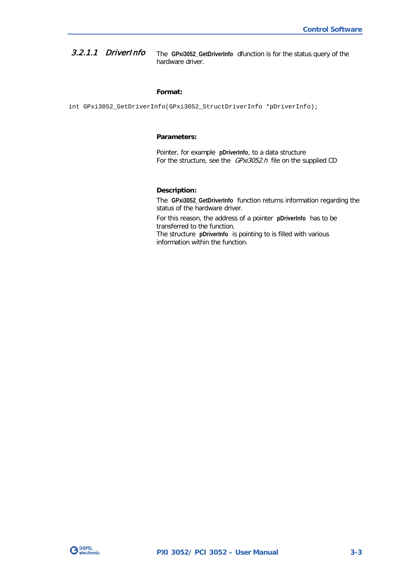<span id="page-22-0"></span>The **GPxi3052\_GetDriverInfo** dfunction is for the status query of the hardware driver. 3.2.1.1 DriverInfo

#### **Format:**

int GPxi3052\_GetDriverInfo(GPxi3052\_StructDriverInfo \*pDriverInfo);

#### **Parameters:**

Pointer, for example **pDriverInfo**, to a data structure For the structure, see the *GPxi3052.h* file on the supplied CD

#### **Description:**

The **GPxi3052\_GetDriverInfo** function returns information regarding the status of the hardware driver.

For this reason, the address of a pointer **pDriverInfo** has to be transferred to the function.

The structure **pDriverInfo** is pointing to is filled with various information within the function.

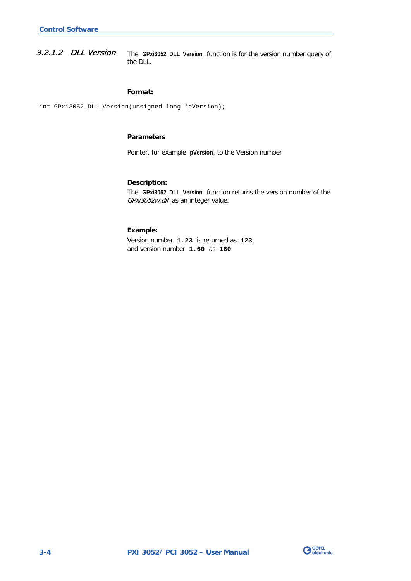<span id="page-23-0"></span>The **GPxi3052\_DLL\_Version** function is for the version number query of the DLL. 3.2.1.2 DLL Version

#### **Format:**

int GPxi3052\_DLL\_Version(unsigned long \*pVersion);

#### **Parameters**

Pointer, for example **pVersion**, to the Version number

#### **Description:**

The **GPxi3052\_DLL\_Version** function returns the version number of the GPxi3052w.dll as an integer value.

#### **Example:**

Version number **1.23** is returned as **123**, and version number **1.60** as **160**.

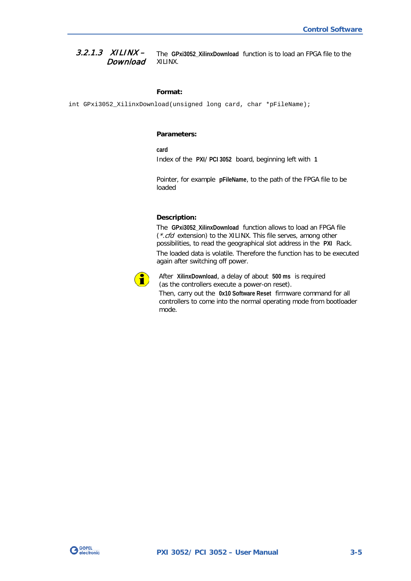#### <span id="page-24-1"></span><span id="page-24-0"></span>The **GPxi3052\_XilinxDownload** function is to load an FPGA file to the XILINX.  $3.2.1.3$  XILINX – **Download**

#### **Format:**

int GPxi3052\_XilinxDownload(unsigned long card, char \*pFileName);

#### **Parameters:**

**card**

Index of the **PXI**/ **PCI 3052** board, beginning left with **1**

Pointer, for example **pFileName**, to the path of the FPGA file to be loaded

#### **Description:**

The **GPxi3052\_XilinxDownload** function allows to load an FPGA file (\*.cfd extension) to the XILINX. This file serves, among other possibilities, to read the geographical slot address in the **PXI** Rack. The loaded data is volatile. Therefore the function has to be executed again after switching off power.



After **XilinxDownload**, a delay of about **500 ms** is required (as the controllers execute a power-on reset).

Then, carry out the **0x10 Software Reset** firmware command for all controllers to come into the normal operating mode from bootloader mode.

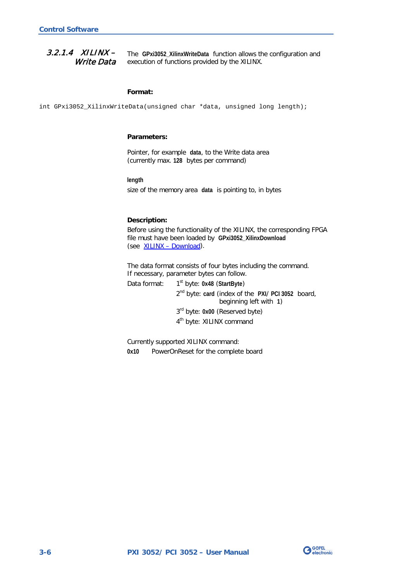#### <span id="page-25-1"></span><span id="page-25-0"></span>The **GPxi3052\_XilinxWriteData** function allows the configuration and execution of functions provided by the XILINX.  $3.2.1.4$  XILINX – Write Data

#### **Format:**

int GPxi3052\_XilinxWriteData(unsigned char \*data, unsigned long length);

#### **Parameters:**

Pointer, for example **data**, to the Write data area (currently max. **128** bytes per command)

#### **length**

size of the memory area **data** is pointing to, in bytes

#### **Description:**

Before using the functionality of the XILINX, the corresponding FPGA file must have been loaded by **GPxi3052\_XilinxDownload** (see XILINX – [Download\)](#page-24-1).

The data format consists of four bytes including the command. If necessary, parameter bytes can follow.

Data format: 1<sup>st</sup> byte: 0x48 (StartByte)

2nd byte: **card** (index of the **PXI**/ **PCI 3052** board, beginning left with **1**) 3rd byte: **0x00** (Reserved byte) 4<sup>th</sup> byte: XILINX command

Currently supported XILINX command: **0x10** PowerOnReset for the complete board

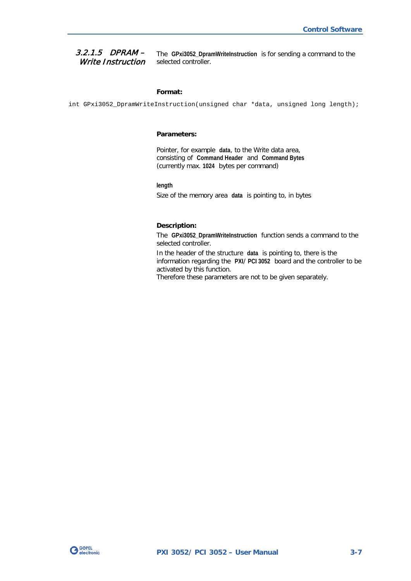#### <span id="page-26-0"></span>3.2.1.5 DPRAM – Write Instruction

The **GPxi3052\_DpramWriteInstruction** is for sending a command to the selected controller.

#### **Format:**

int GPxi3052\_DpramWriteInstruction(unsigned char \*data, unsigned long length);

#### **Parameters:**

Pointer, for example **data**, to the Write data area, consisting of **Command Header** and **Command Bytes** (currently max. **1024** bytes per command)

**length**

Size of the memory area **data** is pointing to, in bytes

#### **Description:**

The **GPxi3052\_DpramWriteInstruction** function sends a command to the selected controller.

In the header of the structure **data** is pointing to, there is the information regarding the **PXI**/ **PCI 3052** board and the controller to be activated by this function.

Therefore these parameters are not to be given separately.

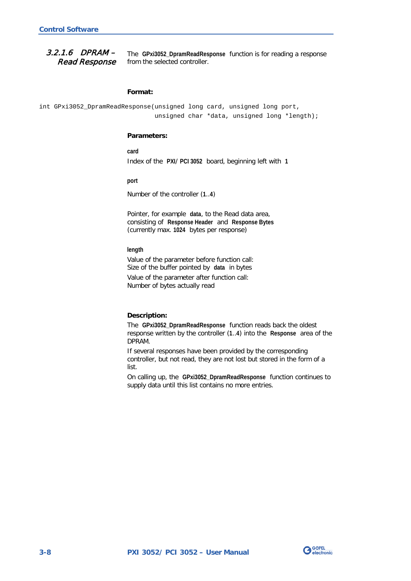<span id="page-27-0"></span>The **GPxi3052\_DpramReadResponse** function is for reading a response from the selected controller. 3.2.1.6 DPRAM – Read Response

#### **Format:**

int GPxi3052\_DpramReadResponse(unsigned long card, unsigned long port, unsigned char \*data, unsigned long \*length);

#### **Parameters:**

**card** Index of the **PXI**/ **PCI 3052** board, beginning left with **1**

**port**

Number of the controller (**1**..**4**)

Pointer, for example **data**, to the Read data area, consisting of **Response Header** and **Response Bytes**  (currently max. **1024** bytes per response)

#### **length**

Value of the parameter before function call: Size of the buffer pointed by **data** in bytes

Value of the parameter after function call: Number of bytes actually read

#### **Description:**

The **GPxi3052\_DpramReadResponse** function reads back the oldest response written by the controller (**1**..**4**) into the **Response** area of the DPRAM.

If several responses have been provided by the corresponding controller, but not read, they are not lost but stored in the form of a list.

On calling up, the **GPxi3052\_DpramReadResponse** function continues to supply data until this list contains no more entries.

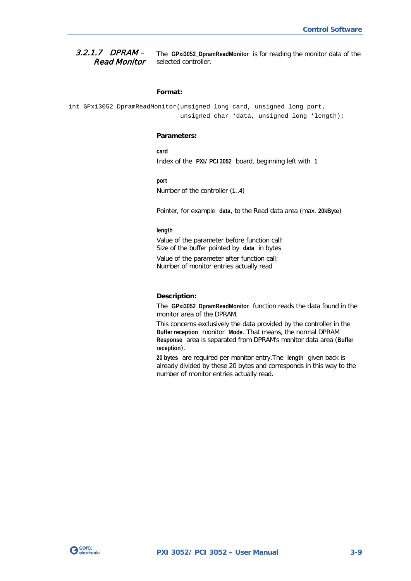#### <span id="page-28-0"></span>The **GPxi3052\_DpramReadMonitor** is for reading the monitor data of the selected controller. 3.2.1.7 DPRAM – Read Monitor

#### **Format:**

```
int GPxi3052_DpramReadMonitor(unsigned long card, unsigned long port,
                   unsigned char *data, unsigned long *length);
```
#### **Parameters:**

**card** Index of the **PXI**/ **PCI 3052** board, beginning left with **1**

#### **port**

Number of the controller (**1**..**4**)

Pointer, for example **data**, to the Read data area (max. **20kByte**)

#### **length**

Value of the parameter before function call: Size of the buffer pointed by **data** in bytes

Value of the parameter after function call: Number of monitor entries actually read

#### **Description:**

The **GPxi3052\_DpramReadMonitor** function reads the data found in the monitor area of the DPRAM.

This concerns exclusively the data provided by the controller in the **Buffer reception** monitor **Mode**. That means, the normal DPRAM **Response** area is separated from DPRAM's monitor data area (**Buffer reception**).

**20 bytes** are required per monitor entry.The **length** given back is already divided by these 20 bytes and corresponds in this way to the number of monitor entries actually read.

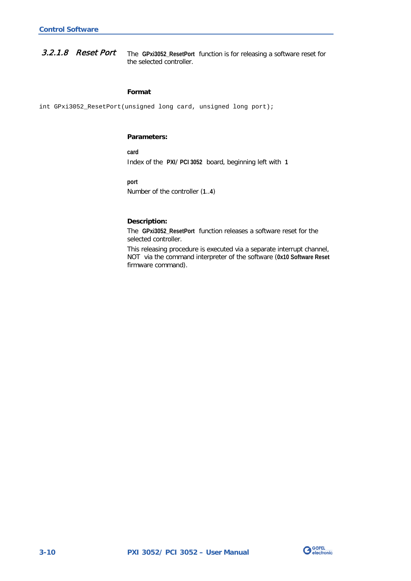<span id="page-29-0"></span>The **GPxi3052\_ResetPort** function is for releasing a software reset for the selected controller. 3.2.1.8 Reset Port

#### **Format**

int GPxi3052\_ResetPort(unsigned long card, unsigned long port);

#### **Parameters:**

**card** Index of the **PXI**/ **PCI 3052** board, beginning left with **1**

**port**

Number of the controller (**1**..**4**)

#### **Description:**

The **GPxi3052\_ResetPort** function releases a software reset for the selected controller.

This releasing procedure is executed via a separate interrupt channel, NOT via the command interpreter of the software (**0x10 Software Reset** firmware command).

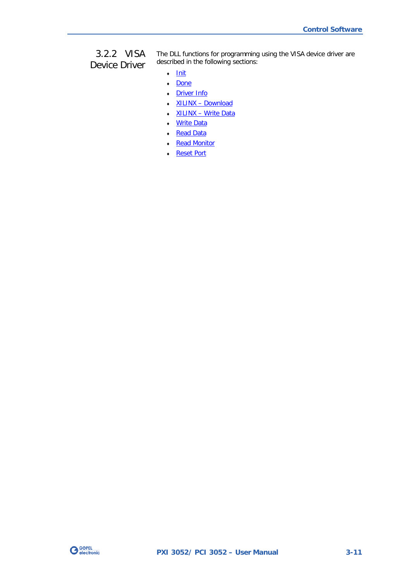## <span id="page-30-0"></span>3.2.2 VISA Device Driver

The DLL functions for programming using the VISA device driver are described in the following sections:

- ♦ [Init](#page-31-2)
- ♦ [Done](#page-31-2)
- ♦ [Driver Info](#page-32-1)
- ♦ XILINX [Download](#page-33-1)
- ♦ XILINX [Write Data](#page-34-1)
- Write Data
- ♦ [Read Data](#page-36-1)
- Read Monitor
- ♦ [Reset Port](#page-38-0)

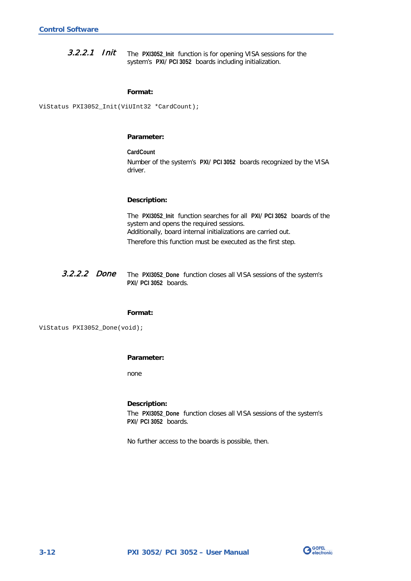<span id="page-31-2"></span><span id="page-31-0"></span>The **PXI3052\_Init** function is for opening VISA sessions for the system's **PXI**/ **PCI 3052** boards including initialization. 3.2.2.1 Init

#### **Format:**

ViStatus PXI3052\_Init(ViUInt32 \*CardCount);

#### **Parameter:**

**CardCount** Number of the system's **PXI**/ **PCI 3052** boards recognized by the VISA driver.

#### **Description:**

The **PXI3052\_Init** function searches for all **PXI**/ **PCI 3052** boards of the system and opens the required sessions. Additionally, board internal initializations are carried out.

Therefore this function must be executed as the first step.

<span id="page-31-1"></span>The **PXI3052\_Done** function closes all VISA sessions of the system's **PXI**/ **PCI 3052** boards. 3.2.2.2 Done

#### **Format:**

ViStatus PXI3052\_Done(void);

#### **Parameter:**

none

#### **Description:**

The **PXI3052\_Done** function closes all VISA sessions of the system's **PXI**/ **PCI 3052** boards.

No further access to the boards is possible, then.

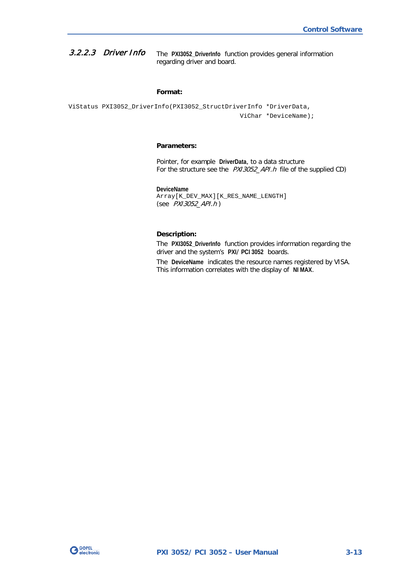<span id="page-32-1"></span><span id="page-32-0"></span>The **PXI3052\_DriverInfo** function provides general information regarding driver and board. 3.2.2.3 Driver Info

#### **Format:**

ViStatus PXI3052\_DriverInfo(PXI3052\_StructDriverInfo \*DriverData, ViChar \*DeviceName);

#### **Parameters:**

Pointer, for example **DriverData**, to a data structure For the structure see the *PXI3052\_API.h* file of the supplied CD)

**DeviceName** Array[K\_DEV\_MAX][K\_RES\_NAME\_LENGTH] (see PXI3052\_API.h )

#### **Description:**

The **PXI3052\_DriverInfo** function provides information regarding the driver and the system's **PXI**/ **PCI 3052** boards.

The **DeviceName** indicates the resource names registered by VISA. This information correlates with the display of **NI MAX**.

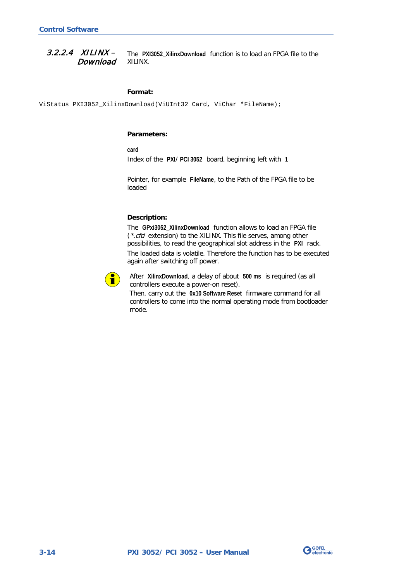<span id="page-33-1"></span><span id="page-33-0"></span>The **PXI3052\_XilinxDownload** function is to load an FPGA file to the XILINX.  $3.2.2.4$  XILINX – Download

#### **Format:**

ViStatus PXI3052\_XilinxDownload(ViUInt32 Card, ViChar \*FileName);

#### **Parameters:**

**card**

Index of the **PXI**/ **PCI 3052** board, beginning left with **1**

Pointer, for example **FileName**, to the Path of the FPGA file to be loaded

#### **Description:**

The **GPxi3052\_XilinxDownload** function allows to load an FPGA file (\*.cfd extension) to the XILINX. This file serves, among other possibilities, to read the geographical slot address in the **PXI** rack. The loaded data is volatile. Therefore the function has to be executed again after switching off power.



After **XilinxDownload**, a delay of about **500 ms** is required (as all controllers execute a power-on reset).

Then, carry out the **0x10 Software Reset** firmware command for all controllers to come into the normal operating mode from bootloader mode.

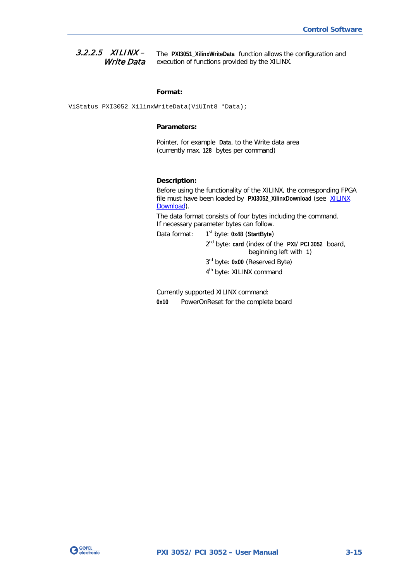<span id="page-34-1"></span><span id="page-34-0"></span>The **PXI3051\_XilinxWriteData** function allows the configuration and execution of functions provided by the XILINX.  $3.2.2.5$  XILINX – Write Data

#### **Format:**

ViStatus PXI3052\_XilinxWriteData(ViUInt8 \*Data);

#### **Parameters:**

Pointer, for example **Data**, to the Write data area (currently max. **128** bytes per command)

#### **Description:**

Before using the functionality of the XILINX, the corresponding FPGA file must have been loaded by PXI3052\_XilinxDownload (see XILINX [Download\)](#page-33-1).

The data format consists of four bytes including the command. If necessary parameter bytes can follow.

Data format: 1<sup>st</sup> byte: 0x48 (StartByte) 2nd byte: **card** (index of the **PXI**/ **PCI 3052** board, beginning left with **1**) 3rd byte: **0x00** (Reserved Byte) 4<sup>th</sup> byte: XILINX command

Currently supported XILINX command: **0x10** PowerOnReset for the complete board

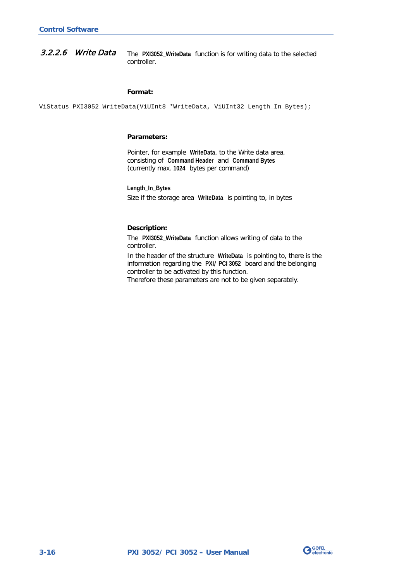<span id="page-35-1"></span><span id="page-35-0"></span>The **PXI3052\_WriteData** function is for writing data to the selected controller. 3.2.2.6 Write Data

#### **Format:**

ViStatus PXI3052\_WriteData(ViUInt8 \*WriteData, ViUInt32 Length\_In\_Bytes);

#### **Parameters:**

Pointer, for example **WriteData**, to the Write data area, consisting of **Command Header** and **Command Bytes** (currently max. **1024** bytes per command)

**Length\_In\_Bytes** Size if the storage area **WriteData** is pointing to, in bytes

#### **Description:**

The **PXI3052\_WriteData** function allows writing of data to the controller.

In the header of the structure **WriteData** is pointing to, there is the information regarding the **PXI**/ **PCI 3052** board and the belonging controller to be activated by this function. Therefore these parameters are not to be given separately.

**G**GOPEL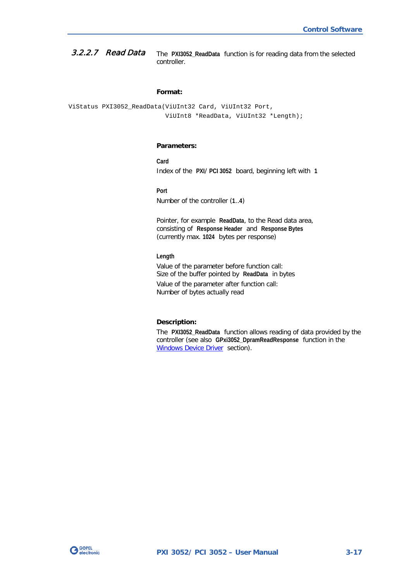<span id="page-36-1"></span><span id="page-36-0"></span>The **PXI3052\_ReadData** function is for reading data from the selected controller. 3.2.2.7 Read Data

#### **Format:**

ViStatus PXI3052\_ReadData(ViUInt32 Card, ViUInt32 Port, ViUInt8 \*ReadData, ViUInt32 \*Length);

#### **Parameters:**

**Card** Index of the **PXI**/ **PCI 3052** board, beginning left with **1**

**Port**

Number of the controller (**1**..**4**)

Pointer, for example **ReadData**, to the Read data area, consisting of **Response Header** and **Response Bytes** (currently max. **1024** bytes per response)

#### **Length**

Value of the parameter before function call: Size of the buffer pointed by **ReadData** in bytes

Value of the parameter after function call: Number of bytes actually read

#### **Description:**

The **PXI3052\_ReadData** function allows reading of data provided by the controller (see also **GPxi3052\_DpramReadResponse** function in the [Windows Device Driver](#page-21-0) section).

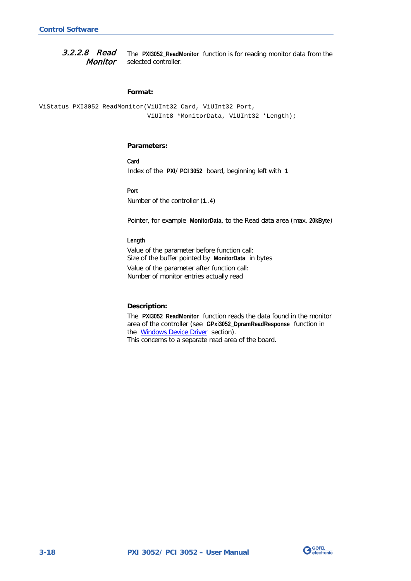<span id="page-37-1"></span><span id="page-37-0"></span>The **PXI3052\_ReadMonitor** function is for reading monitor data from the selected controller. 3.2.2.8 Read Monitor

#### **Format:**

```
ViStatus PXI3052_ReadMonitor(ViUInt32 Card, ViUInt32 Port,
                  ViUInt8 *MonitorData, ViUInt32 *Length);
```
#### **Parameters:**

**Card** Index of the **PXI**/ **PCI 3052** board, beginning left with **1**

#### **Port**

Number of the controller (**1**..**4**)

Pointer, for example **MonitorData**, to the Read data area (max. **20kByte**)

#### **Length**

Value of the parameter before function call: Size of the buffer pointed by **MonitorData** in bytes Value of the parameter after function call: Number of monitor entries actually read

#### **Description:**

The **PXI3052\_ReadMonitor** function reads the data found in the monitor area of the controller (see **GPxi3052\_DpramReadResponse** function in the [Windows Device Driver](#page-21-0) section). This concerns to a separate read area of the board.

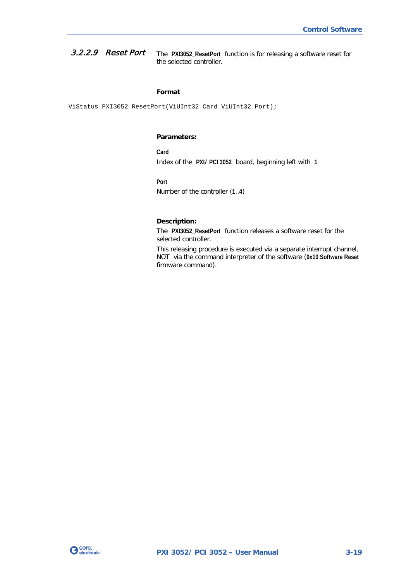<span id="page-38-0"></span>The **PXI3052\_ResetPort** function is for releasing a software reset for the selected controller. 3.2.2.9 Reset Port

#### **Format**

ViStatus PXI3052\_ResetPort(ViUInt32 Card ViUInt32 Port);

#### **Parameters:**

**Card** Index of the **PXI**/ **PCI 3052** board, beginning left with **1**

**Port**

Number of the controller (**1**..**4**)

#### **Description:**

The **PXI3052\_ResetPort** function releases a software reset for the selected controller.

This releasing procedure is executed via a separate interrupt channel, NOT via the command interpreter of the software (**0x10 Software Reset** firmware command).

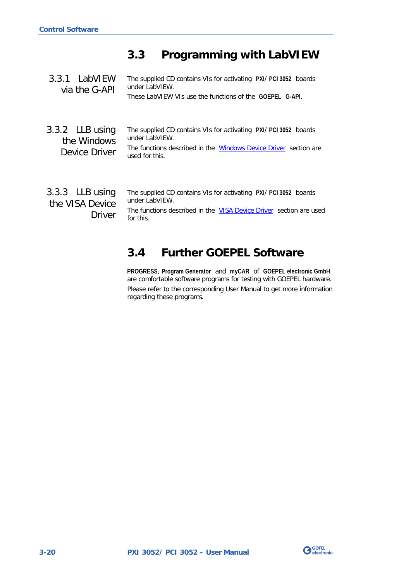## <span id="page-39-0"></span>**3.3 Programming with LabVIEW**

<span id="page-39-2"></span><span id="page-39-1"></span>

| 3.3.1 LabVIEW<br>via the G-API                    | The supplied CD contains VIs for activating PXI/ PCI 3052 boards<br>under LabVIFW.<br>These LabVIEW VIs use the functions of the GOEPEL G-API.                           |
|---------------------------------------------------|--------------------------------------------------------------------------------------------------------------------------------------------------------------------------|
| $3.3.2$ LLB using<br>the Windows<br>Device Driver | The supplied CD contains VIs for activating PXI/ PCI 3052 boards<br>under LabVIEW.<br>The functions described in the Windows Device Driver section are<br>used for this. |
| 3.3.3 LLB using<br>the VISA Device<br>Driver      | The supplied CD contains VIs for activating PXI/ PCI 3052 boards<br>under LabVIEW.<br>The functions described in the VISA Device Driver section are used<br>for this.    |

## <span id="page-39-4"></span><span id="page-39-3"></span>**3.4 Further GOEPEL Software**

**PROGRESS**, **Program Generator** and **myCAR** of **GOEPEL electronic GmbH** are comfortable software programs for testing with GOEPEL hardware. Please refer to the corresponding User Manual to get more information regarding these programs**.**